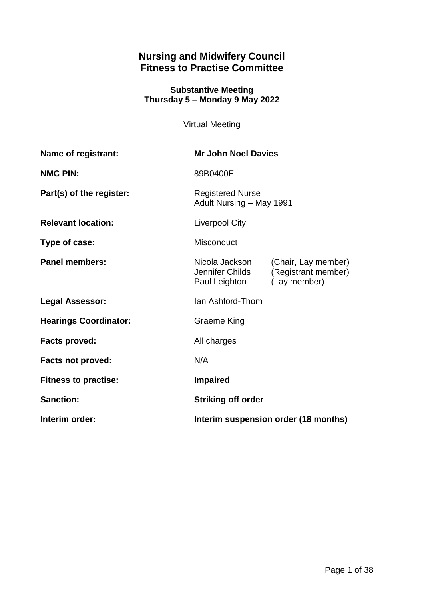# **Nursing and Midwifery Council Fitness to Practise Committee**

### **Substantive Meeting Thursday 5 – Monday 9 May 2022**

Virtual Meeting

| <b>Name of registrant:</b>   | <b>Mr John Noel Davies</b>                          |                                                            |
|------------------------------|-----------------------------------------------------|------------------------------------------------------------|
| <b>NMC PIN:</b>              | 89B0400E                                            |                                                            |
| Part(s) of the register:     | <b>Registered Nurse</b><br>Adult Nursing - May 1991 |                                                            |
| <b>Relevant location:</b>    | <b>Liverpool City</b>                               |                                                            |
| Type of case:                | Misconduct                                          |                                                            |
| <b>Panel members:</b>        | Nicola Jackson<br>Jennifer Childs<br>Paul Leighton  | (Chair, Lay member)<br>(Registrant member)<br>(Lay member) |
| <b>Legal Assessor:</b>       | Ian Ashford-Thom                                    |                                                            |
| <b>Hearings Coordinator:</b> | <b>Graeme King</b>                                  |                                                            |
| <b>Facts proved:</b>         | All charges                                         |                                                            |
| <b>Facts not proved:</b>     | N/A                                                 |                                                            |
| <b>Fitness to practise:</b>  | <b>Impaired</b>                                     |                                                            |
| <b>Sanction:</b>             | <b>Striking off order</b>                           |                                                            |
| Interim order:               | Interim suspension order (18 months)                |                                                            |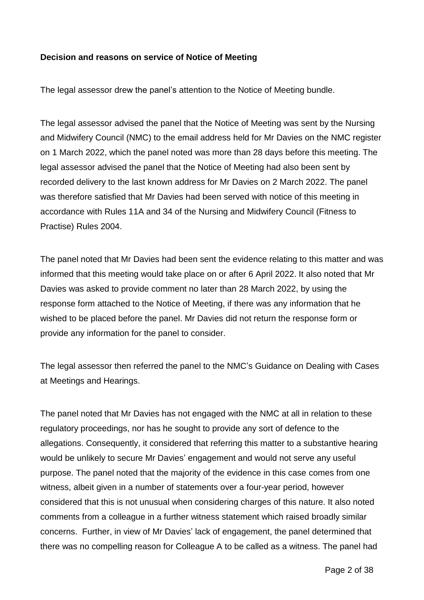#### **Decision and reasons on service of Notice of Meeting**

The legal assessor drew the panel's attention to the Notice of Meeting bundle.

The legal assessor advised the panel that the Notice of Meeting was sent by the Nursing and Midwifery Council (NMC) to the email address held for Mr Davies on the NMC register on 1 March 2022, which the panel noted was more than 28 days before this meeting. The legal assessor advised the panel that the Notice of Meeting had also been sent by recorded delivery to the last known address for Mr Davies on 2 March 2022. The panel was therefore satisfied that Mr Davies had been served with notice of this meeting in accordance with Rules 11A and 34 of the Nursing and Midwifery Council (Fitness to Practise) Rules 2004.

The panel noted that Mr Davies had been sent the evidence relating to this matter and was informed that this meeting would take place on or after 6 April 2022. It also noted that Mr Davies was asked to provide comment no later than 28 March 2022, by using the response form attached to the Notice of Meeting, if there was any information that he wished to be placed before the panel. Mr Davies did not return the response form or provide any information for the panel to consider.

The legal assessor then referred the panel to the NMC's Guidance on Dealing with Cases at Meetings and Hearings.

The panel noted that Mr Davies has not engaged with the NMC at all in relation to these regulatory proceedings, nor has he sought to provide any sort of defence to the allegations. Consequently, it considered that referring this matter to a substantive hearing would be unlikely to secure Mr Davies' engagement and would not serve any useful purpose. The panel noted that the majority of the evidence in this case comes from one witness, albeit given in a number of statements over a four-year period, however considered that this is not unusual when considering charges of this nature. It also noted comments from a colleague in a further witness statement which raised broadly similar concerns. Further, in view of Mr Davies' lack of engagement, the panel determined that there was no compelling reason for Colleague A to be called as a witness. The panel had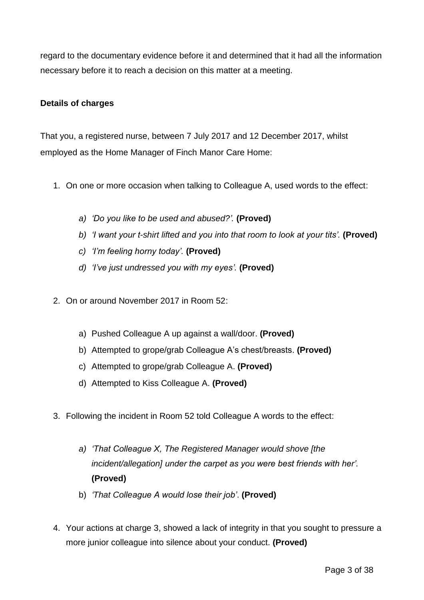regard to the documentary evidence before it and determined that it had all the information necessary before it to reach a decision on this matter at a meeting.

### **Details of charges**

That you, a registered nurse, between 7 July 2017 and 12 December 2017, whilst employed as the Home Manager of Finch Manor Care Home:

- 1. On one or more occasion when talking to Colleague A, used words to the effect:
	- *a) 'Do you like to be used and abused?'.* **(Proved)**
	- *b) 'I want your t-shirt lifted and you into that room to look at your tits'.* **(Proved)**
	- *c) 'I'm feeling horny today'.* **(Proved)**
	- *d) 'I've just undressed you with my eyes'.* **(Proved)**
- 2. On or around November 2017 in Room 52:
	- a) Pushed Colleague A up against a wall/door. **(Proved)**
	- b) Attempted to grope/grab Colleague A's chest/breasts. **(Proved)**
	- c) Attempted to grope/grab Colleague A. **(Proved)**
	- d) Attempted to Kiss Colleague A. **(Proved)**
- 3. Following the incident in Room 52 told Colleague A words to the effect:
	- *a) 'That Colleague X, The Registered Manager would shove [the incident/allegation] under the carpet as you were best friends with her'.* **(Proved)**
	- b) *'That Colleague A would lose their job'*. **(Proved)**
- 4. Your actions at charge 3, showed a lack of integrity in that you sought to pressure a more junior colleague into silence about your conduct. **(Proved)**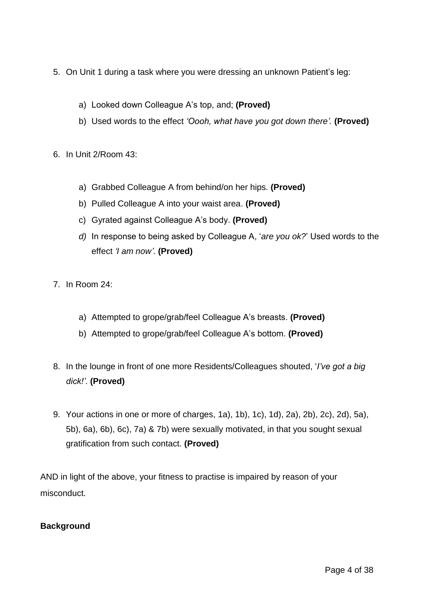- 5. On Unit 1 during a task where you were dressing an unknown Patient's leg:
	- a) Looked down Colleague A's top, and; **(Proved)**
	- b) Used words to the effect *'Oooh, what have you got down there'.* **(Proved)**
- 6. In Unit 2/Room 43:
	- a) Grabbed Colleague A from behind/on her hips. **(Proved)**
	- b) Pulled Colleague A into your waist area. **(Proved)**
	- c) Gyrated against Colleague A's body. **(Proved)**
	- *d)* In response to being asked by Colleague A, '*are you ok?*' Used words to the effect *'I am now'*. **(Proved)**
- 7. In Room 24:
	- a) Attempted to grope/grab/feel Colleague A's breasts. **(Proved)**
	- b) Attempted to grope/grab/feel Colleague A's bottom. **(Proved)**
- 8. In the lounge in front of one more Residents/Colleagues shouted, '*I've got a big dick!'*. **(Proved)**
- 9. Your actions in one or more of charges, 1a), 1b), 1c), 1d), 2a), 2b), 2c), 2d), 5a), 5b), 6a), 6b), 6c), 7a) & 7b) were sexually motivated, in that you sought sexual gratification from such contact. **(Proved)**

AND in light of the above, your fitness to practise is impaired by reason of your misconduct.

#### **Background**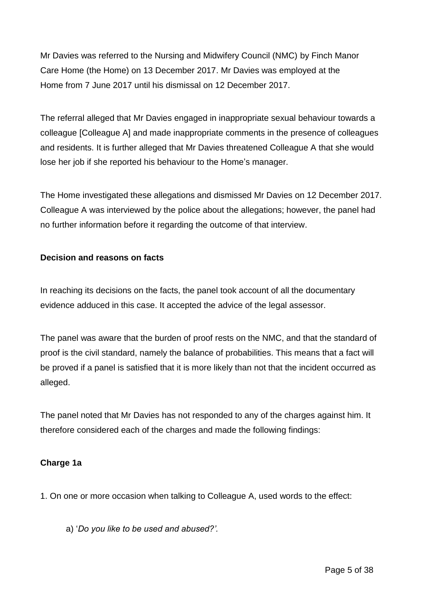Mr Davies was referred to the Nursing and Midwifery Council (NMC) by Finch Manor Care Home (the Home) on 13 December 2017. Mr Davies was employed at the Home from 7 June 2017 until his dismissal on 12 December 2017.

The referral alleged that Mr Davies engaged in inappropriate sexual behaviour towards a colleague [Colleague A] and made inappropriate comments in the presence of colleagues and residents. It is further alleged that Mr Davies threatened Colleague A that she would lose her job if she reported his behaviour to the Home's manager.

The Home investigated these allegations and dismissed Mr Davies on 12 December 2017. Colleague A was interviewed by the police about the allegations; however, the panel had no further information before it regarding the outcome of that interview.

# **Decision and reasons on facts**

In reaching its decisions on the facts, the panel took account of all the documentary evidence adduced in this case. It accepted the advice of the legal assessor.

The panel was aware that the burden of proof rests on the NMC, and that the standard of proof is the civil standard, namely the balance of probabilities. This means that a fact will be proved if a panel is satisfied that it is more likely than not that the incident occurred as alleged.

The panel noted that Mr Davies has not responded to any of the charges against him. It therefore considered each of the charges and made the following findings:

## **Charge 1a**

1. On one or more occasion when talking to Colleague A, used words to the effect:

a) '*Do you like to be used and abused?'.*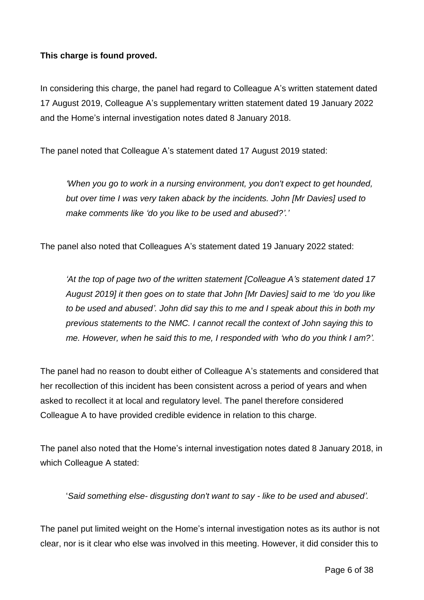## **This charge is found proved.**

In considering this charge, the panel had regard to Colleague A's written statement dated 17 August 2019, Colleague A's supplementary written statement dated 19 January 2022 and the Home's internal investigation notes dated 8 January 2018.

The panel noted that Colleague A's statement dated 17 August 2019 stated:

*'When you go to work in a nursing environment, you don't expect to get hounded, but over time I was very taken aback by the incidents. John [Mr Davies] used to make comments like 'do you like to be used and abused?'.'*

The panel also noted that Colleagues A's statement dated 19 January 2022 stated:

*'At the top of page two of the written statement [Colleague A's statement dated 17 August 2019] it then goes on to state that John [Mr Davies] said to me 'do you like to be used and abused'. John did say this to me and I speak about this in both my previous statements to the NMC. I cannot recall the context of John saying this to me. However, when he said this to me, I responded with 'who do you think I am?'.*

The panel had no reason to doubt either of Colleague A's statements and considered that her recollection of this incident has been consistent across a period of years and when asked to recollect it at local and regulatory level. The panel therefore considered Colleague A to have provided credible evidence in relation to this charge.

The panel also noted that the Home's internal investigation notes dated 8 January 2018, in which Colleague A stated:

'*Said something else- disgusting don't want to say - like to be used and abused'.*

The panel put limited weight on the Home's internal investigation notes as its author is not clear, nor is it clear who else was involved in this meeting. However, it did consider this to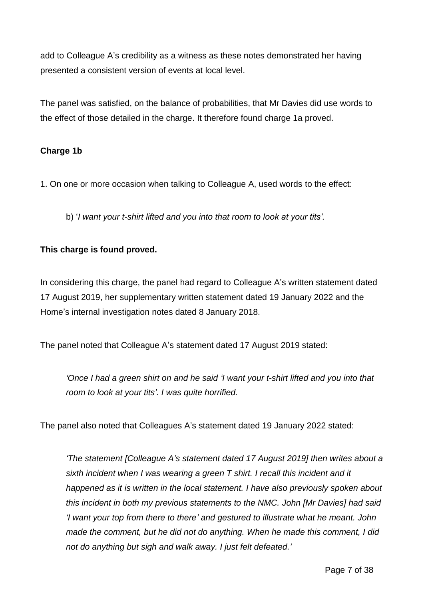add to Colleague A's credibility as a witness as these notes demonstrated her having presented a consistent version of events at local level.

The panel was satisfied, on the balance of probabilities, that Mr Davies did use words to the effect of those detailed in the charge. It therefore found charge 1a proved.

## **Charge 1b**

1. On one or more occasion when talking to Colleague A, used words to the effect:

b) '*I want your t-shirt lifted and you into that room to look at your tits'.*

## **This charge is found proved.**

In considering this charge, the panel had regard to Colleague A's written statement dated 17 August 2019, her supplementary written statement dated 19 January 2022 and the Home's internal investigation notes dated 8 January 2018.

The panel noted that Colleague A's statement dated 17 August 2019 stated:

*'Once I had a green shirt on and he said 'I want your t-shirt lifted and you into that room to look at your tits'. I was quite horrified.*

The panel also noted that Colleagues A's statement dated 19 January 2022 stated:

*'The statement [Colleague A's statement dated 17 August 2019] then writes about a sixth incident when I was wearing a green T shirt. I recall this incident and it happened as it is written in the local statement. I have also previously spoken about this incident in both my previous statements to the NMC. John [Mr Davies] had said 'I want your top from there to there' and gestured to illustrate what he meant. John made the comment, but he did not do anything. When he made this comment, I did not do anything but sigh and walk away. I just felt defeated.'*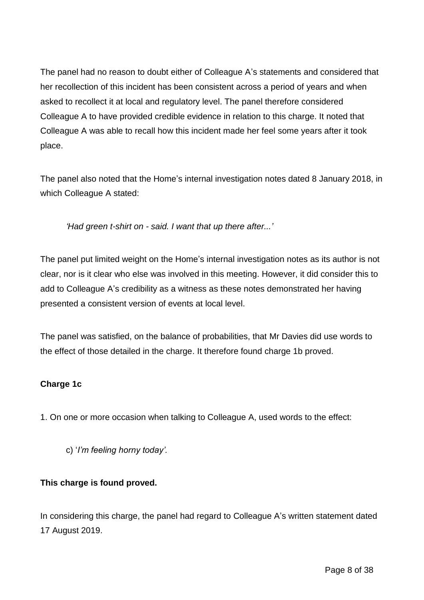The panel had no reason to doubt either of Colleague A's statements and considered that her recollection of this incident has been consistent across a period of years and when asked to recollect it at local and regulatory level. The panel therefore considered Colleague A to have provided credible evidence in relation to this charge. It noted that Colleague A was able to recall how this incident made her feel some years after it took place.

The panel also noted that the Home's internal investigation notes dated 8 January 2018, in which Colleague A stated:

*'Had green t-shirt on - said. I want that up there after...'*

The panel put limited weight on the Home's internal investigation notes as its author is not clear, nor is it clear who else was involved in this meeting. However, it did consider this to add to Colleague A's credibility as a witness as these notes demonstrated her having presented a consistent version of events at local level.

The panel was satisfied, on the balance of probabilities, that Mr Davies did use words to the effect of those detailed in the charge. It therefore found charge 1b proved.

## **Charge 1c**

1. On one or more occasion when talking to Colleague A, used words to the effect:

c) '*I'm feeling horny today'.*

## **This charge is found proved.**

In considering this charge, the panel had regard to Colleague A's written statement dated 17 August 2019.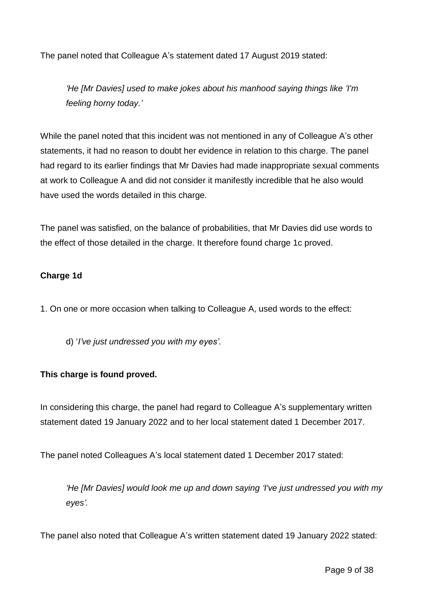The panel noted that Colleague A's statement dated 17 August 2019 stated:

*'He [Mr Davies] used to make jokes about his manhood saying things like 'I'm feeling horny today.'*

While the panel noted that this incident was not mentioned in any of Colleague A's other statements, it had no reason to doubt her evidence in relation to this charge. The panel had regard to its earlier findings that Mr Davies had made inappropriate sexual comments at work to Colleague A and did not consider it manifestly incredible that he also would have used the words detailed in this charge.

The panel was satisfied, on the balance of probabilities, that Mr Davies did use words to the effect of those detailed in the charge. It therefore found charge 1c proved.

### **Charge 1d**

1. On one or more occasion when talking to Colleague A, used words to the effect:

d) '*I've just undressed you with my eyes'.*

## **This charge is found proved.**

In considering this charge, the panel had regard to Colleague A's supplementary written statement dated 19 January 2022 and to her local statement dated 1 December 2017.

The panel noted Colleagues A's local statement dated 1 December 2017 stated:

*'He [Mr Davies] would look me up and down saying 'I've just undressed you with my eyes'.*

The panel also noted that Colleague A's written statement dated 19 January 2022 stated: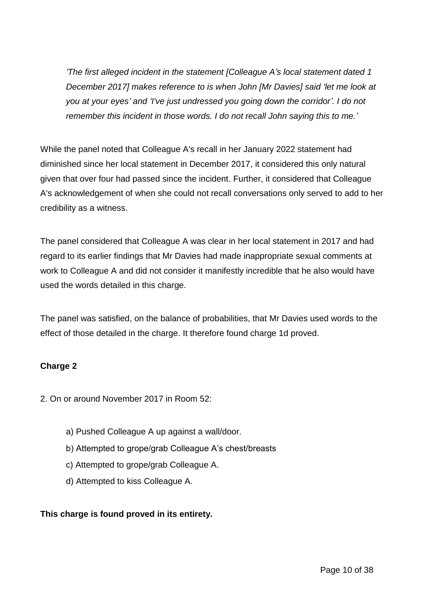*'The first alleged incident in the statement [Colleague A's local statement dated 1 December 2017] makes reference to is when John [Mr Davies] said 'let me look at you at your eyes' and 'I've just undressed you going down the corridor'. I do not remember this incident in those words. I do not recall John saying this to me.'*

While the panel noted that Colleague A's recall in her January 2022 statement had diminished since her local statement in December 2017, it considered this only natural given that over four had passed since the incident. Further, it considered that Colleague A's acknowledgement of when she could not recall conversations only served to add to her credibility as a witness.

The panel considered that Colleague A was clear in her local statement in 2017 and had regard to its earlier findings that Mr Davies had made inappropriate sexual comments at work to Colleague A and did not consider it manifestly incredible that he also would have used the words detailed in this charge.

The panel was satisfied, on the balance of probabilities, that Mr Davies used words to the effect of those detailed in the charge. It therefore found charge 1d proved.

## **Charge 2**

2. On or around November 2017 in Room 52:

- a) Pushed Colleague A up against a wall/door.
- b) Attempted to grope/grab Colleague A's chest/breasts
- c) Attempted to grope/grab Colleague A.
- d) Attempted to kiss Colleague A.

# **This charge is found proved in its entirety.**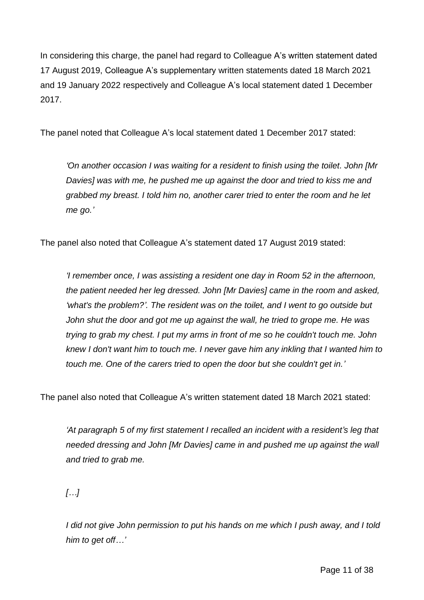In considering this charge, the panel had regard to Colleague A's written statement dated 17 August 2019, Colleague A's supplementary written statements dated 18 March 2021 and 19 January 2022 respectively and Colleague A's local statement dated 1 December 2017.

The panel noted that Colleague A's local statement dated 1 December 2017 stated:

*'On another occasion I was waiting for a resident to finish using the toilet. John [Mr Davies] was with me, he pushed me up against the door and tried to kiss me and grabbed my breast. I told him no, another carer tried to enter the room and he let me go.'*

The panel also noted that Colleague A's statement dated 17 August 2019 stated:

*'I remember once, I was assisting a resident one day in Room 52 in the afternoon, the patient needed her leg dressed. John [Mr Davies] came in the room and asked, 'what's the problem?'. The resident was on the toilet, and I went to go outside but John shut the door and got me up against the wall, he tried to grope me. He was trying to grab my chest. I put my arms in front of me so he couldn't touch me. John knew I don't want him to touch me. I never gave him any inkling that I wanted him to touch me. One of the carers tried to open the door but she couldn't get in.'*

The panel also noted that Colleague A's written statement dated 18 March 2021 stated:

*'At paragraph 5 of my first statement I recalled an incident with a resident's leg that needed dressing and John [Mr Davies] came in and pushed me up against the wall and tried to grab me.*

*[…]*

*I did not give John permission to put his hands on me which I push away, and I told him to get off…'*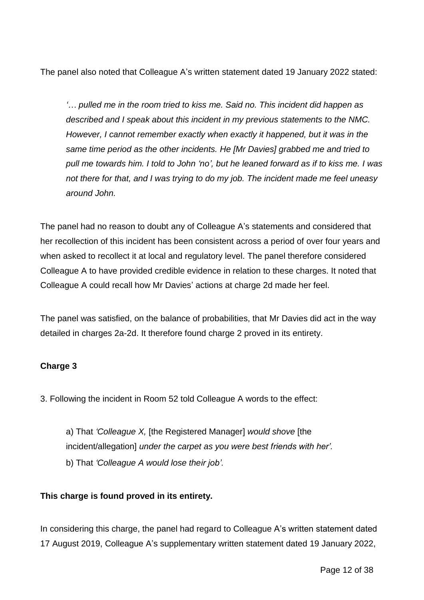The panel also noted that Colleague A's written statement dated 19 January 2022 stated:

*'… pulled me in the room tried to kiss me. Said no. This incident did happen as described and I speak about this incident in my previous statements to the NMC. However, I cannot remember exactly when exactly it happened, but it was in the same time period as the other incidents. He [Mr Davies] grabbed me and tried to pull me towards him. I told to John 'no', but he leaned forward as if to kiss me. I was not there for that, and I was trying to do my job. The incident made me feel uneasy around John.*

The panel had no reason to doubt any of Colleague A's statements and considered that her recollection of this incident has been consistent across a period of over four years and when asked to recollect it at local and regulatory level. The panel therefore considered Colleague A to have provided credible evidence in relation to these charges. It noted that Colleague A could recall how Mr Davies' actions at charge 2d made her feel.

The panel was satisfied, on the balance of probabilities, that Mr Davies did act in the way detailed in charges 2a-2d. It therefore found charge 2 proved in its entirety.

## **Charge 3**

3. Following the incident in Room 52 told Colleague A words to the effect:

a) That *'Colleague X,* [the Registered Manager] *would shove* [the incident/allegation] *under the carpet as you were best friends with her'.* b) That *'Colleague A would lose their job'.*

## **This charge is found proved in its entirety.**

In considering this charge, the panel had regard to Colleague A's written statement dated 17 August 2019, Colleague A's supplementary written statement dated 19 January 2022,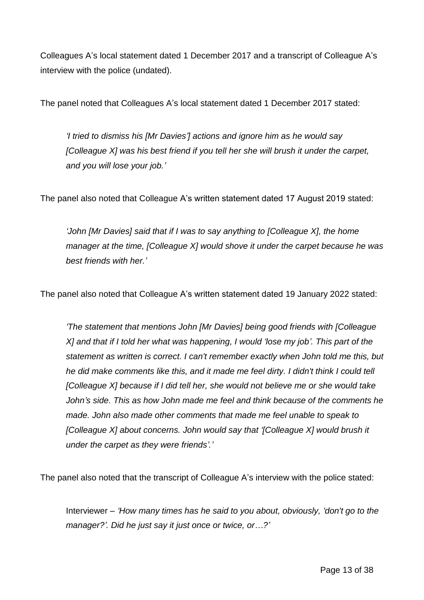Colleagues A's local statement dated 1 December 2017 and a transcript of Colleague A's interview with the police (undated).

The panel noted that Colleagues A's local statement dated 1 December 2017 stated:

*'I tried to dismiss his [Mr Davies'] actions and ignore him as he would say [Colleague X] was his best friend if you tell her she will brush it under the carpet, and you will lose your job.'*

The panel also noted that Colleague A's written statement dated 17 August 2019 stated:

*'John [Mr Davies] said that if I was to say anything to [Colleague X], the home manager at the time, [Colleague X] would shove it under the carpet because he was best friends with her.'*

The panel also noted that Colleague A's written statement dated 19 January 2022 stated:

*'The statement that mentions John [Mr Davies] being good friends with [Colleague X] and that if I told her what was happening, I would 'lose my job'. This part of the statement as written is correct. I can't remember exactly when John told me this, but he did make comments like this, and it made me feel dirty. I didn't think I could tell [Colleague X] because if I did tell her, she would not believe me or she would take John's side. This as how John made me feel and think because of the comments he made. John also made other comments that made me feel unable to speak to [Colleague X] about concerns. John would say that '[Colleague X] would brush it under the carpet as they were friends'.'*

The panel also noted that the transcript of Colleague A's interview with the police stated:

Interviewer – *'How many times has he said to you about, obviously, 'don't go to the manager?'. Did he just say it just once or twice, or…?'*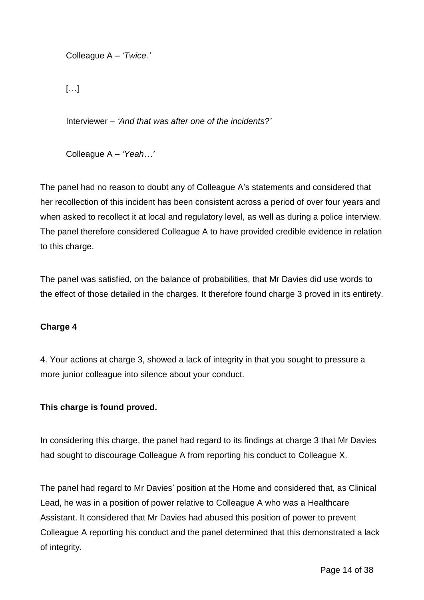Colleague A – *'Twice.'*

[…]

Interviewer – *'And that was after one of the incidents?'*

Colleague A – *'Yeah…'*

The panel had no reason to doubt any of Colleague A's statements and considered that her recollection of this incident has been consistent across a period of over four years and when asked to recollect it at local and regulatory level, as well as during a police interview. The panel therefore considered Colleague A to have provided credible evidence in relation to this charge.

The panel was satisfied, on the balance of probabilities, that Mr Davies did use words to the effect of those detailed in the charges. It therefore found charge 3 proved in its entirety.

## **Charge 4**

4. Your actions at charge 3, showed a lack of integrity in that you sought to pressure a more junior colleague into silence about your conduct.

## **This charge is found proved.**

In considering this charge, the panel had regard to its findings at charge 3 that Mr Davies had sought to discourage Colleague A from reporting his conduct to Colleague X.

The panel had regard to Mr Davies' position at the Home and considered that, as Clinical Lead, he was in a position of power relative to Colleague A who was a Healthcare Assistant. It considered that Mr Davies had abused this position of power to prevent Colleague A reporting his conduct and the panel determined that this demonstrated a lack of integrity.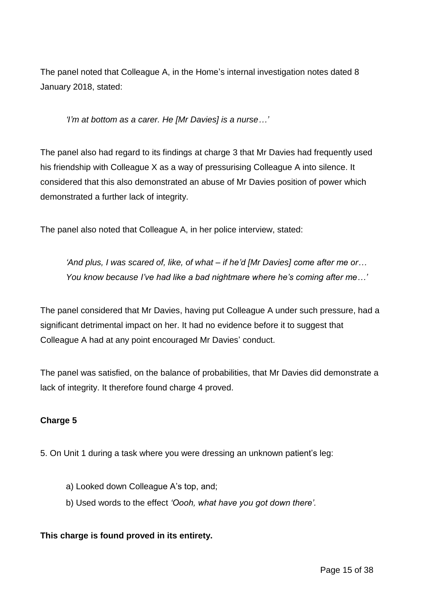The panel noted that Colleague A, in the Home's internal investigation notes dated 8 January 2018, stated:

*'I'm at bottom as a carer. He [Mr Davies] is a nurse…'*

The panel also had regard to its findings at charge 3 that Mr Davies had frequently used his friendship with Colleague X as a way of pressurising Colleague A into silence. It considered that this also demonstrated an abuse of Mr Davies position of power which demonstrated a further lack of integrity.

The panel also noted that Colleague A, in her police interview, stated:

*'And plus, I was scared of, like, of what – if he'd [Mr Davies] come after me or… You know because I've had like a bad nightmare where he's coming after me…'*

The panel considered that Mr Davies, having put Colleague A under such pressure, had a significant detrimental impact on her. It had no evidence before it to suggest that Colleague A had at any point encouraged Mr Davies' conduct.

The panel was satisfied, on the balance of probabilities, that Mr Davies did demonstrate a lack of integrity. It therefore found charge 4 proved.

## **Charge 5**

- 5. On Unit 1 during a task where you were dressing an unknown patient's leg:
	- a) Looked down Colleague A's top, and;
	- b) Used words to the effect *'Oooh, what have you got down there'.*

#### **This charge is found proved in its entirety.**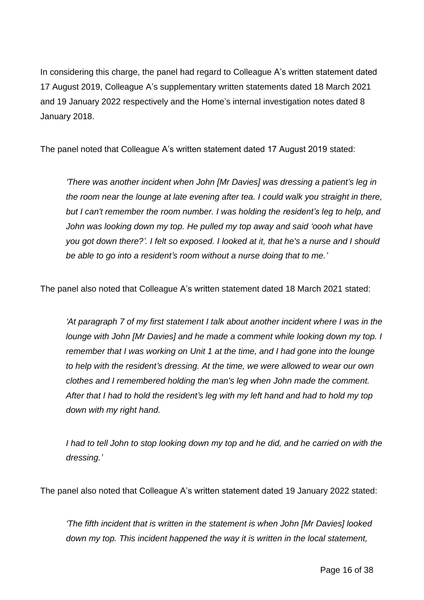In considering this charge, the panel had regard to Colleague A's written statement dated 17 August 2019, Colleague A's supplementary written statements dated 18 March 2021 and 19 January 2022 respectively and the Home's internal investigation notes dated 8 January 2018.

The panel noted that Colleague A's written statement dated 17 August 2019 stated:

*'There was another incident when John [Mr Davies] was dressing a patient's leg in the room near the lounge at late evening after tea. I could walk you straight in there, but I can't remember the room number. I was holding the resident's leg to help, and John was looking down my top. He pulled my top away and said 'oooh what have you got down there?'. I felt so exposed. I looked at it, that he's a nurse and I should be able to go into a resident's room without a nurse doing that to me.'*

The panel also noted that Colleague A's written statement dated 18 March 2021 stated:

*'At paragraph 7 of my first statement I talk about another incident where I was in the lounge with John [Mr Davies] and he made a comment while looking down my top. I remember that I was working on Unit 1 at the time, and I had gone into the lounge to help with the resident's dressing. At the time, we were allowed to wear our own clothes and I remembered holding the man's leg when John made the comment. After that I had to hold the resident's leg with my left hand and had to hold my top down with my right hand.*

*I had to tell John to stop looking down my top and he did, and he carried on with the dressing.'*

The panel also noted that Colleague A's written statement dated 19 January 2022 stated:

*'The fifth incident that is written in the statement is when John [Mr Davies] looked down my top. This incident happened the way it is written in the local statement,*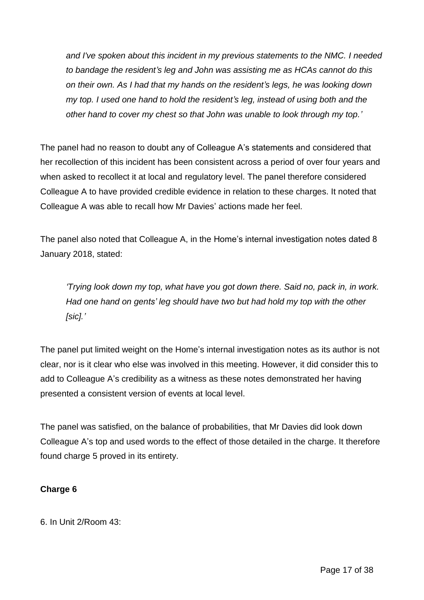*and I've spoken about this incident in my previous statements to the NMC. I needed to bandage the resident's leg and John was assisting me as HCAs cannot do this on their own. As I had that my hands on the resident's legs, he was looking down my top. I used one hand to hold the resident's leg, instead of using both and the other hand to cover my chest so that John was unable to look through my top.'*

The panel had no reason to doubt any of Colleague A's statements and considered that her recollection of this incident has been consistent across a period of over four years and when asked to recollect it at local and regulatory level. The panel therefore considered Colleague A to have provided credible evidence in relation to these charges. It noted that Colleague A was able to recall how Mr Davies' actions made her feel.

The panel also noted that Colleague A, in the Home's internal investigation notes dated 8 January 2018, stated:

*'Trying look down my top, what have you got down there. Said no, pack in, in work. Had one hand on gents' leg should have two but had hold my top with the other [sic].'*

The panel put limited weight on the Home's internal investigation notes as its author is not clear, nor is it clear who else was involved in this meeting. However, it did consider this to add to Colleague A's credibility as a witness as these notes demonstrated her having presented a consistent version of events at local level.

The panel was satisfied, on the balance of probabilities, that Mr Davies did look down Colleague A's top and used words to the effect of those detailed in the charge. It therefore found charge 5 proved in its entirety.

# **Charge 6**

6. In Unit 2/Room 43: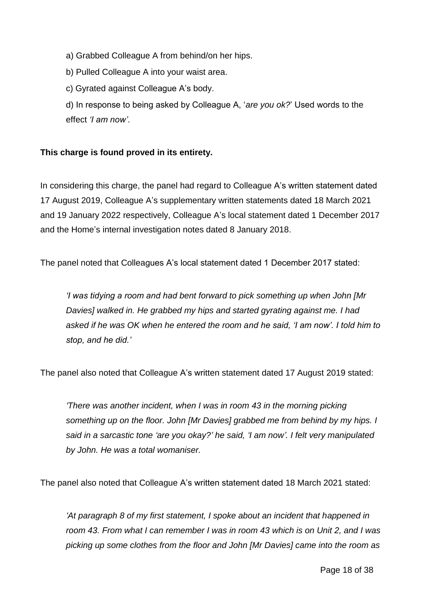a) Grabbed Colleague A from behind/on her hips.

b) Pulled Colleague A into your waist area.

c) Gyrated against Colleague A's body.

d) In response to being asked by Colleague A, '*are you ok?*' Used words to the effect *'I am now'*.

## **This charge is found proved in its entirety.**

In considering this charge, the panel had regard to Colleague A's written statement dated 17 August 2019, Colleague A's supplementary written statements dated 18 March 2021 and 19 January 2022 respectively, Colleague A's local statement dated 1 December 2017 and the Home's internal investigation notes dated 8 January 2018.

The panel noted that Colleagues A's local statement dated 1 December 2017 stated:

*'I was tidying a room and had bent forward to pick something up when John [Mr Davies] walked in. He grabbed my hips and started gyrating against me. I had asked if he was OK when he entered the room and he said, 'I am now'. I told him to stop, and he did.'*

The panel also noted that Colleague A's written statement dated 17 August 2019 stated:

*'There was another incident, when I was in room 43 in the morning picking something up on the floor. John [Mr Davies] grabbed me from behind by my hips. I said in a sarcastic tone 'are you okay?' he said, 'I am now'. I felt very manipulated by John. He was a total womaniser.*

The panel also noted that Colleague A's written statement dated 18 March 2021 stated:

*'At paragraph 8 of my first statement, I spoke about an incident that happened in room 43. From what I can remember I was in room 43 which is on Unit 2, and I was picking up some clothes from the floor and John [Mr Davies] came into the room as*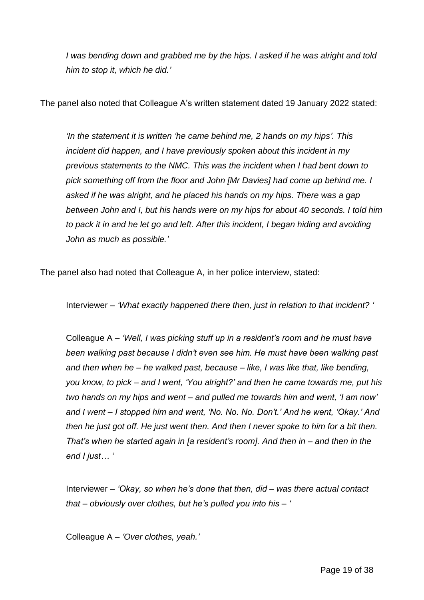*I was bending down and grabbed me by the hips. I asked if he was alright and told him to stop it, which he did.'*

The panel also noted that Colleague A's written statement dated 19 January 2022 stated:

*'In the statement it is written 'he came behind me, 2 hands on my hips'. This incident did happen, and I have previously spoken about this incident in my previous statements to the NMC. This was the incident when I had bent down to pick something off from the floor and John [Mr Davies] had come up behind me. I asked if he was alright, and he placed his hands on my hips. There was a gap between John and I, but his hands were on my hips for about 40 seconds. I told him to pack it in and he let go and left. After this incident, I began hiding and avoiding John as much as possible.'*

The panel also had noted that Colleague A, in her police interview, stated:

Interviewer *– 'What exactly happened there then, just in relation to that incident? '*

Colleague A *– 'Well, I was picking stuff up in a resident's room and he must have been walking past because I didn't even see him. He must have been walking past and then when he – he walked past, because – like, I was like that, like bending, you know, to pick – and I went, 'You alright?' and then he came towards me, put his two hands on my hips and went – and pulled me towards him and went, 'I am now' and I went – I stopped him and went, 'No. No. No. Don't.' And he went, 'Okay.' And then he just got off. He just went then. And then I never spoke to him for a bit then. That's when he started again in [a resident's room]. And then in – and then in the end I just… '*

Interviewer *– 'Okay, so when he's done that then, did – was there actual contact that – obviously over clothes, but he's pulled you into his – '*

Colleague A *– 'Over clothes, yeah.'*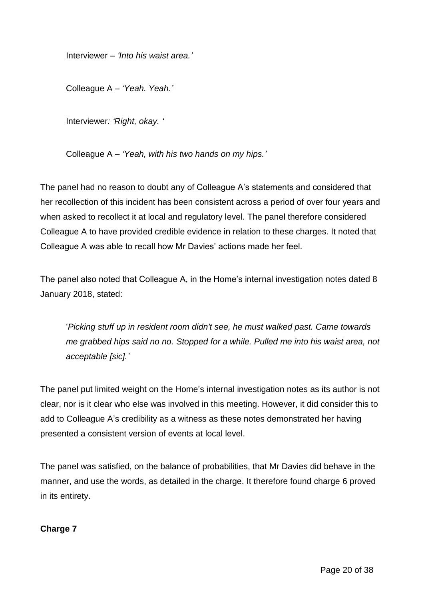Interviewer *– 'Into his waist area.'*

Colleague A *– 'Yeah. Yeah.'*

Interviewer*: 'Right, okay. '*

Colleague A *– 'Yeah, with his two hands on my hips.'*

The panel had no reason to doubt any of Colleague A's statements and considered that her recollection of this incident has been consistent across a period of over four years and when asked to recollect it at local and regulatory level. The panel therefore considered Colleague A to have provided credible evidence in relation to these charges. It noted that Colleague A was able to recall how Mr Davies' actions made her feel.

The panel also noted that Colleague A, in the Home's internal investigation notes dated 8 January 2018, stated:

'*Picking stuff up in resident room didn't see, he must walked past. Came towards me grabbed hips said no no. Stopped for a while. Pulled me into his waist area, not acceptable [sic].'*

The panel put limited weight on the Home's internal investigation notes as its author is not clear, nor is it clear who else was involved in this meeting. However, it did consider this to add to Colleague A's credibility as a witness as these notes demonstrated her having presented a consistent version of events at local level.

The panel was satisfied, on the balance of probabilities, that Mr Davies did behave in the manner, and use the words, as detailed in the charge. It therefore found charge 6 proved in its entirety.

**Charge 7**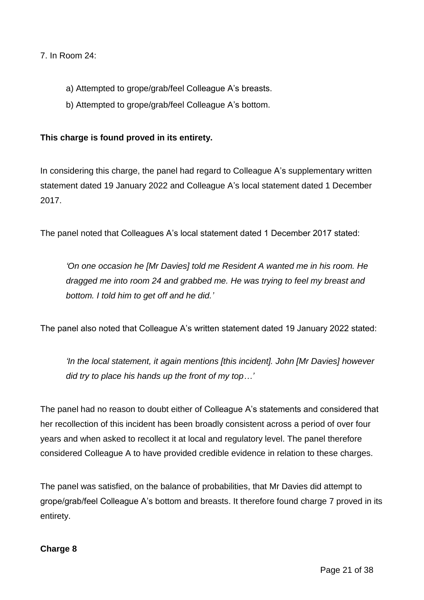7. In Room 24:

- a) Attempted to grope/grab/feel Colleague A's breasts.
- b) Attempted to grope/grab/feel Colleague A's bottom.

### **This charge is found proved in its entirety.**

In considering this charge, the panel had regard to Colleague A's supplementary written statement dated 19 January 2022 and Colleague A's local statement dated 1 December 2017.

The panel noted that Colleagues A's local statement dated 1 December 2017 stated:

*'On one occasion he [Mr Davies] told me Resident A wanted me in his room. He dragged me into room 24 and grabbed me. He was trying to feel my breast and bottom. I told him to get off and he did.'*

The panel also noted that Colleague A's written statement dated 19 January 2022 stated:

*'In the local statement, it again mentions [this incident]. John [Mr Davies] however did try to place his hands up the front of my top…'*

The panel had no reason to doubt either of Colleague A's statements and considered that her recollection of this incident has been broadly consistent across a period of over four years and when asked to recollect it at local and regulatory level. The panel therefore considered Colleague A to have provided credible evidence in relation to these charges.

The panel was satisfied, on the balance of probabilities, that Mr Davies did attempt to grope/grab/feel Colleague A's bottom and breasts. It therefore found charge 7 proved in its entirety.

#### **Charge 8**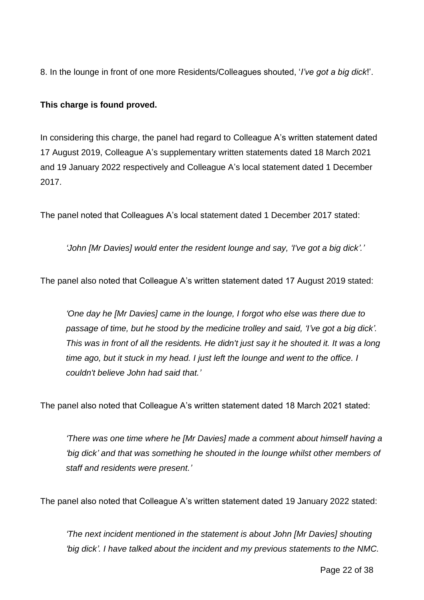8. In the lounge in front of one more Residents/Colleagues shouted, '*I've got a big dick*!'.

## **This charge is found proved.**

In considering this charge, the panel had regard to Colleague A's written statement dated 17 August 2019, Colleague A's supplementary written statements dated 18 March 2021 and 19 January 2022 respectively and Colleague A's local statement dated 1 December 2017.

The panel noted that Colleagues A's local statement dated 1 December 2017 stated:

*'John [Mr Davies] would enter the resident lounge and say, 'I've got a big dick'.'*

The panel also noted that Colleague A's written statement dated 17 August 2019 stated:

*'One day he [Mr Davies] came in the lounge, I forgot who else was there due to passage of time, but he stood by the medicine trolley and said, 'I've got a big dick'. This was in front of all the residents. He didn't just say it he shouted it. It was a long time ago, but it stuck in my head. I just left the lounge and went to the office. I couldn't believe John had said that.'*

The panel also noted that Colleague A's written statement dated 18 March 2021 stated:

*'There was one time where he [Mr Davies] made a comment about himself having a 'big dick' and that was something he shouted in the lounge whilst other members of staff and residents were present.'*

The panel also noted that Colleague A's written statement dated 19 January 2022 stated:

*'The next incident mentioned in the statement is about John [Mr Davies] shouting 'big dick'. I have talked about the incident and my previous statements to the NMC.*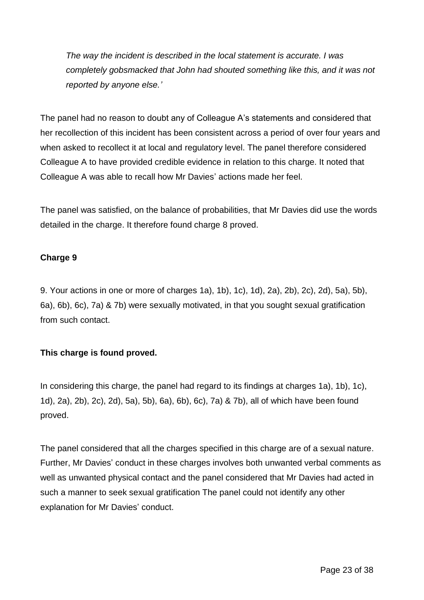*The way the incident is described in the local statement is accurate. I was completely gobsmacked that John had shouted something like this, and it was not reported by anyone else.'*

The panel had no reason to doubt any of Colleague A's statements and considered that her recollection of this incident has been consistent across a period of over four years and when asked to recollect it at local and regulatory level. The panel therefore considered Colleague A to have provided credible evidence in relation to this charge. It noted that Colleague A was able to recall how Mr Davies' actions made her feel.

The panel was satisfied, on the balance of probabilities, that Mr Davies did use the words detailed in the charge. It therefore found charge 8 proved.

# **Charge 9**

9. Your actions in one or more of charges 1a), 1b), 1c), 1d), 2a), 2b), 2c), 2d), 5a), 5b), 6a), 6b), 6c), 7a) & 7b) were sexually motivated, in that you sought sexual gratification from such contact.

## **This charge is found proved.**

In considering this charge, the panel had regard to its findings at charges 1a), 1b), 1c), 1d), 2a), 2b), 2c), 2d), 5a), 5b), 6a), 6b), 6c), 7a) & 7b), all of which have been found proved.

The panel considered that all the charges specified in this charge are of a sexual nature. Further, Mr Davies' conduct in these charges involves both unwanted verbal comments as well as unwanted physical contact and the panel considered that Mr Davies had acted in such a manner to seek sexual gratification The panel could not identify any other explanation for Mr Davies' conduct.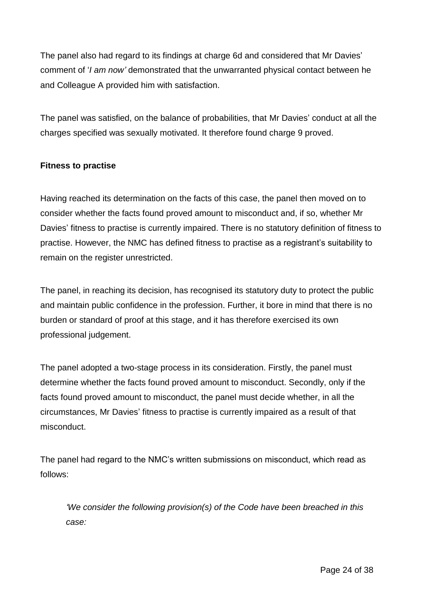The panel also had regard to its findings at charge 6d and considered that Mr Davies' comment of '*I am now'* demonstrated that the unwarranted physical contact between he and Colleague A provided him with satisfaction.

The panel was satisfied, on the balance of probabilities, that Mr Davies' conduct at all the charges specified was sexually motivated. It therefore found charge 9 proved.

### **Fitness to practise**

Having reached its determination on the facts of this case, the panel then moved on to consider whether the facts found proved amount to misconduct and, if so, whether Mr Davies' fitness to practise is currently impaired. There is no statutory definition of fitness to practise. However, the NMC has defined fitness to practise as a registrant's suitability to remain on the register unrestricted.

The panel, in reaching its decision, has recognised its statutory duty to protect the public and maintain public confidence in the profession. Further, it bore in mind that there is no burden or standard of proof at this stage, and it has therefore exercised its own professional judgement.

The panel adopted a two-stage process in its consideration. Firstly, the panel must determine whether the facts found proved amount to misconduct. Secondly, only if the facts found proved amount to misconduct, the panel must decide whether, in all the circumstances, Mr Davies' fitness to practise is currently impaired as a result of that misconduct.

The panel had regard to the NMC's written submissions on misconduct, which read as follows:

*'We consider the following provision(s) of the Code have been breached in this case:*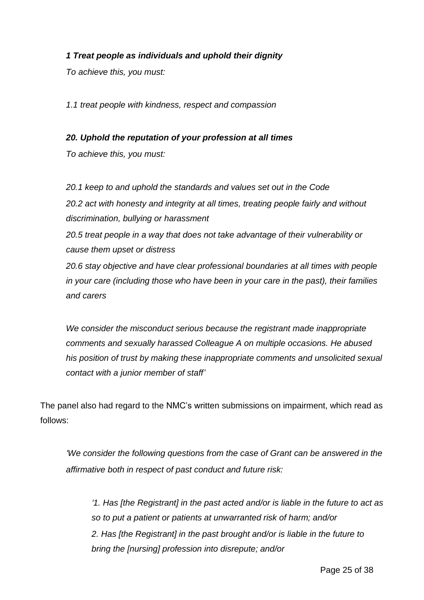## *1 Treat people as individuals and uphold their dignity*

*To achieve this, you must:*

*1.1 treat people with kindness, respect and compassion* 

#### *20. Uphold the reputation of your profession at all times*

*To achieve this, you must:*

*20.1 keep to and uphold the standards and values set out in the Code 20.2 act with honesty and integrity at all times, treating people fairly and without discrimination, bullying or harassment*

*20.5 treat people in a way that does not take advantage of their vulnerability or cause them upset or distress*

*20.6 stay objective and have clear professional boundaries at all times with people in your care (including those who have been in your care in the past), their families and carers*

*We consider the misconduct serious because the registrant made inappropriate comments and sexually harassed Colleague A on multiple occasions. He abused his position of trust by making these inappropriate comments and unsolicited sexual contact with a junior member of staff'*

The panel also had regard to the NMC's written submissions on impairment, which read as follows:

*'We consider the following questions from the case of Grant can be answered in the affirmative both in respect of past conduct and future risk:* 

*'1. Has [the Registrant] in the past acted and/or is liable in the future to act as so to put a patient or patients at unwarranted risk of harm; and/or 2. Has [the Registrant] in the past brought and/or is liable in the future to bring the [nursing] profession into disrepute; and/or*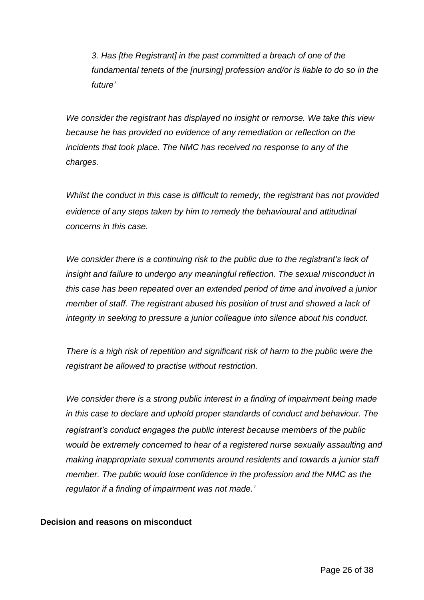*3. Has [the Registrant] in the past committed a breach of one of the fundamental tenets of the [nursing] profession and/or is liable to do so in the future'*

*We consider the registrant has displayed no insight or remorse. We take this view because he has provided no evidence of any remediation or reflection on the incidents that took place. The NMC has received no response to any of the charges.*

*Whilst the conduct in this case is difficult to remedy, the registrant has not provided evidence of any steps taken by him to remedy the behavioural and attitudinal concerns in this case.* 

*We consider there is a continuing risk to the public due to the registrant's lack of insight and failure to undergo any meaningful reflection. The sexual misconduct in this case has been repeated over an extended period of time and involved a junior member of staff. The registrant abused his position of trust and showed a lack of integrity in seeking to pressure a junior colleague into silence about his conduct.* 

*There is a high risk of repetition and significant risk of harm to the public were the registrant be allowed to practise without restriction.* 

*We consider there is a strong public interest in a finding of impairment being made in this case to declare and uphold proper standards of conduct and behaviour. The registrant's conduct engages the public interest because members of the public would be extremely concerned to hear of a registered nurse sexually assaulting and making inappropriate sexual comments around residents and towards a junior staff member. The public would lose confidence in the profession and the NMC as the regulator if a finding of impairment was not made.'*

#### **Decision and reasons on misconduct**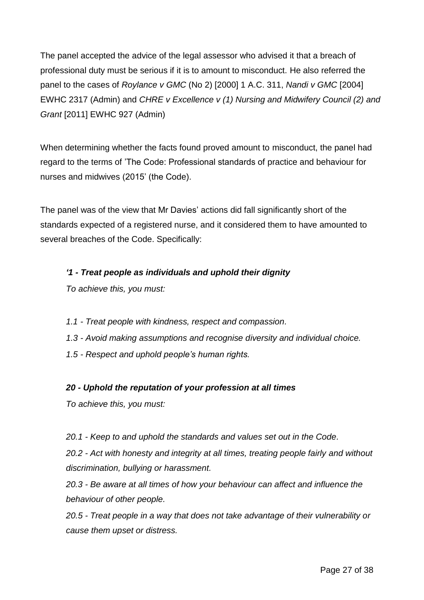The panel accepted the advice of the legal assessor who advised it that a breach of professional duty must be serious if it is to amount to misconduct. He also referred the panel to the cases of *Roylance v GMC* (No 2) [2000] 1 A.C. 311, *Nandi v GMC* [2004] EWHC 2317 (Admin) and *CHRE v Excellence v (1) Nursing and Midwifery Council (2) and Grant* [2011] EWHC 927 (Admin)

When determining whether the facts found proved amount to misconduct, the panel had regard to the terms of 'The Code: Professional standards of practice and behaviour for nurses and midwives (2015' (the Code).

The panel was of the view that Mr Davies' actions did fall significantly short of the standards expected of a registered nurse, and it considered them to have amounted to several breaches of the Code. Specifically:

# *'1 - Treat people as individuals and uphold their dignity*

*To achieve this, you must:* 

- *1.1 - Treat people with kindness, respect and compassion.*
- *1.3 - Avoid making assumptions and recognise diversity and individual choice.*
- *1.5 - Respect and uphold people's human rights.*

## *20 - Uphold the reputation of your profession at all times*

*To achieve this, you must:*

*20.1 - Keep to and uphold the standards and values set out in the Code.*

*20.2 - Act with honesty and integrity at all times, treating people fairly and without discrimination, bullying or harassment.*

*20.3 - Be aware at all times of how your behaviour can affect and influence the behaviour of other people.*

*20.5 - Treat people in a way that does not take advantage of their vulnerability or cause them upset or distress.*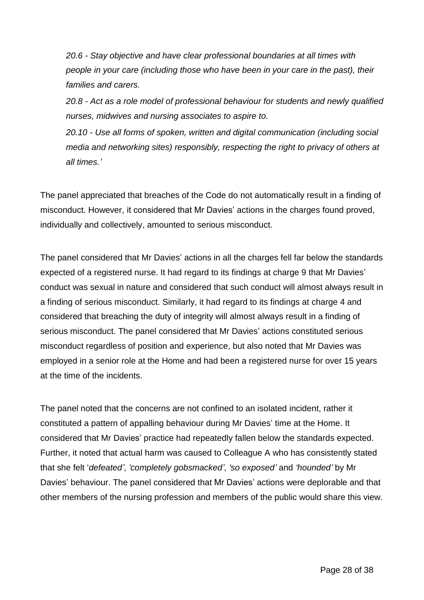*20.6 - Stay objective and have clear professional boundaries at all times with people in your care (including those who have been in your care in the past), their families and carers.*

*20.8 - Act as a role model of professional behaviour for students and newly qualified nurses, midwives and nursing associates to aspire to.*

*20.10 - Use all forms of spoken, written and digital communication (including social media and networking sites) responsibly, respecting the right to privacy of others at all times.'*

The panel appreciated that breaches of the Code do not automatically result in a finding of misconduct. However, it considered that Mr Davies' actions in the charges found proved, individually and collectively, amounted to serious misconduct.

The panel considered that Mr Davies' actions in all the charges fell far below the standards expected of a registered nurse. It had regard to its findings at charge 9 that Mr Davies' conduct was sexual in nature and considered that such conduct will almost always result in a finding of serious misconduct. Similarly, it had regard to its findings at charge 4 and considered that breaching the duty of integrity will almost always result in a finding of serious misconduct. The panel considered that Mr Davies' actions constituted serious misconduct regardless of position and experience, but also noted that Mr Davies was employed in a senior role at the Home and had been a registered nurse for over 15 years at the time of the incidents.

The panel noted that the concerns are not confined to an isolated incident, rather it constituted a pattern of appalling behaviour during Mr Davies' time at the Home. It considered that Mr Davies' practice had repeatedly fallen below the standards expected. Further, it noted that actual harm was caused to Colleague A who has consistently stated that she felt '*defeated'*, *'completely gobsmacked'*, *'so exposed'* and *'hounded'* by Mr Davies' behaviour. The panel considered that Mr Davies' actions were deplorable and that other members of the nursing profession and members of the public would share this view.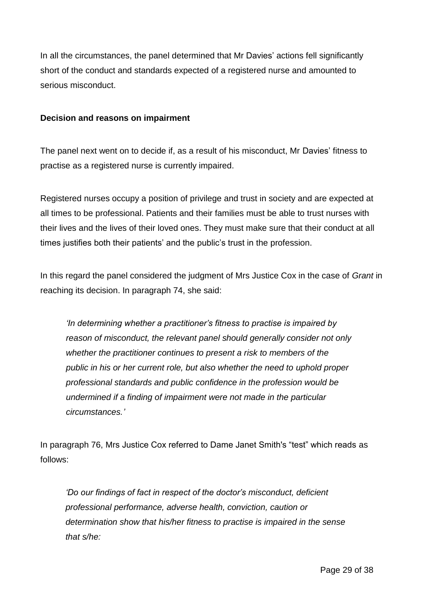In all the circumstances, the panel determined that Mr Davies' actions fell significantly short of the conduct and standards expected of a registered nurse and amounted to serious misconduct.

#### **Decision and reasons on impairment**

The panel next went on to decide if, as a result of his misconduct, Mr Davies' fitness to practise as a registered nurse is currently impaired.

Registered nurses occupy a position of privilege and trust in society and are expected at all times to be professional. Patients and their families must be able to trust nurses with their lives and the lives of their loved ones. They must make sure that their conduct at all times justifies both their patients' and the public's trust in the profession.

In this regard the panel considered the judgment of Mrs Justice Cox in the case of *Grant* in reaching its decision. In paragraph 74, she said:

*'In determining whether a practitioner's fitness to practise is impaired by reason of misconduct, the relevant panel should generally consider not only whether the practitioner continues to present a risk to members of the public in his or her current role, but also whether the need to uphold proper professional standards and public confidence in the profession would be undermined if a finding of impairment were not made in the particular circumstances.'*

In paragraph 76, Mrs Justice Cox referred to Dame Janet Smith's "test" which reads as follows:

*'Do our findings of fact in respect of the doctor's misconduct, deficient professional performance, adverse health, conviction, caution or determination show that his/her fitness to practise is impaired in the sense that s/he:*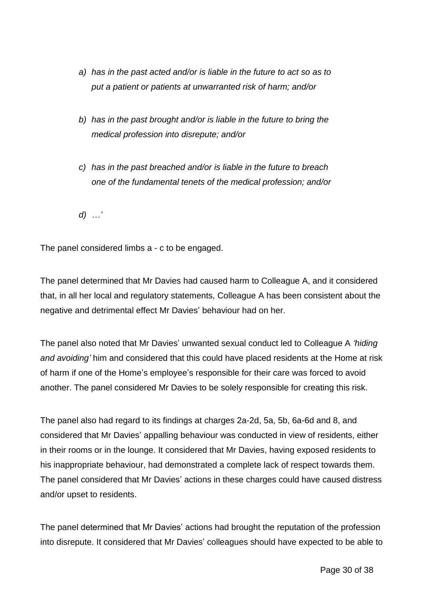- *a) has in the past acted and/or is liable in the future to act so as to put a patient or patients at unwarranted risk of harm; and/or*
- *b) has in the past brought and/or is liable in the future to bring the medical profession into disrepute; and/or*
- *c) has in the past breached and/or is liable in the future to breach one of the fundamental tenets of the medical profession; and/or*

*d) …'*

The panel considered limbs a - c to be engaged.

The panel determined that Mr Davies had caused harm to Colleague A, and it considered that, in all her local and regulatory statements, Colleague A has been consistent about the negative and detrimental effect Mr Davies' behaviour had on her.

The panel also noted that Mr Davies' unwanted sexual conduct led to Colleague A *'hiding and avoiding'* him and considered that this could have placed residents at the Home at risk of harm if one of the Home's employee's responsible for their care was forced to avoid another. The panel considered Mr Davies to be solely responsible for creating this risk.

The panel also had regard to its findings at charges 2a-2d, 5a, 5b, 6a-6d and 8, and considered that Mr Davies' appalling behaviour was conducted in view of residents, either in their rooms or in the lounge. It considered that Mr Davies, having exposed residents to his inappropriate behaviour, had demonstrated a complete lack of respect towards them. The panel considered that Mr Davies' actions in these charges could have caused distress and/or upset to residents.

The panel determined that Mr Davies' actions had brought the reputation of the profession into disrepute. It considered that Mr Davies' colleagues should have expected to be able to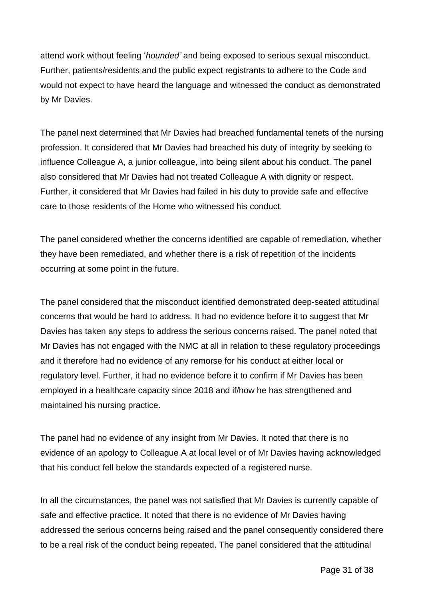attend work without feeling '*hounded'* and being exposed to serious sexual misconduct. Further, patients/residents and the public expect registrants to adhere to the Code and would not expect to have heard the language and witnessed the conduct as demonstrated by Mr Davies.

The panel next determined that Mr Davies had breached fundamental tenets of the nursing profession. It considered that Mr Davies had breached his duty of integrity by seeking to influence Colleague A, a junior colleague, into being silent about his conduct. The panel also considered that Mr Davies had not treated Colleague A with dignity or respect. Further, it considered that Mr Davies had failed in his duty to provide safe and effective care to those residents of the Home who witnessed his conduct.

The panel considered whether the concerns identified are capable of remediation, whether they have been remediated, and whether there is a risk of repetition of the incidents occurring at some point in the future.

The panel considered that the misconduct identified demonstrated deep-seated attitudinal concerns that would be hard to address. It had no evidence before it to suggest that Mr Davies has taken any steps to address the serious concerns raised. The panel noted that Mr Davies has not engaged with the NMC at all in relation to these regulatory proceedings and it therefore had no evidence of any remorse for his conduct at either local or regulatory level. Further, it had no evidence before it to confirm if Mr Davies has been employed in a healthcare capacity since 2018 and if/how he has strengthened and maintained his nursing practice.

The panel had no evidence of any insight from Mr Davies. It noted that there is no evidence of an apology to Colleague A at local level or of Mr Davies having acknowledged that his conduct fell below the standards expected of a registered nurse.

In all the circumstances, the panel was not satisfied that Mr Davies is currently capable of safe and effective practice. It noted that there is no evidence of Mr Davies having addressed the serious concerns being raised and the panel consequently considered there to be a real risk of the conduct being repeated. The panel considered that the attitudinal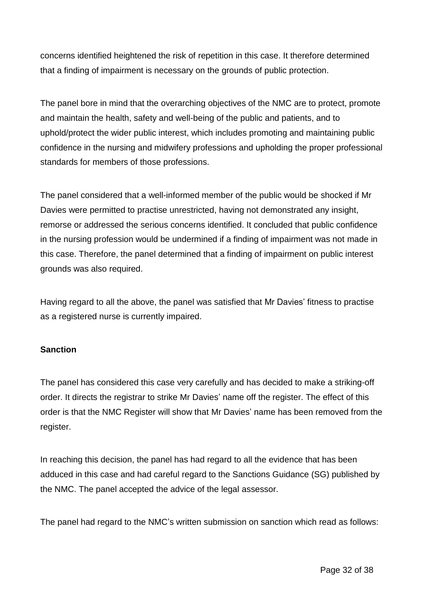concerns identified heightened the risk of repetition in this case. It therefore determined that a finding of impairment is necessary on the grounds of public protection.

The panel bore in mind that the overarching objectives of the NMC are to protect, promote and maintain the health, safety and well-being of the public and patients, and to uphold/protect the wider public interest, which includes promoting and maintaining public confidence in the nursing and midwifery professions and upholding the proper professional standards for members of those professions.

The panel considered that a well-informed member of the public would be shocked if Mr Davies were permitted to practise unrestricted, having not demonstrated any insight, remorse or addressed the serious concerns identified. It concluded that public confidence in the nursing profession would be undermined if a finding of impairment was not made in this case. Therefore, the panel determined that a finding of impairment on public interest grounds was also required.

Having regard to all the above, the panel was satisfied that Mr Davies' fitness to practise as a registered nurse is currently impaired.

#### **Sanction**

The panel has considered this case very carefully and has decided to make a striking-off order. It directs the registrar to strike Mr Davies' name off the register. The effect of this order is that the NMC Register will show that Mr Davies' name has been removed from the register.

In reaching this decision, the panel has had regard to all the evidence that has been adduced in this case and had careful regard to the Sanctions Guidance (SG) published by the NMC. The panel accepted the advice of the legal assessor.

The panel had regard to the NMC's written submission on sanction which read as follows: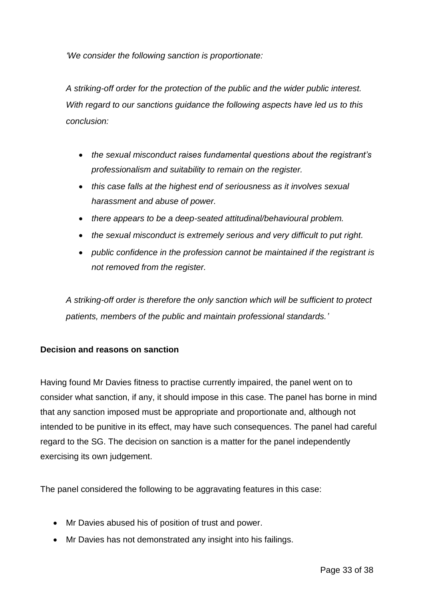*'We consider the following sanction is proportionate:*

*A striking-off order for the protection of the public and the wider public interest. With regard to our sanctions guidance the following aspects have led us to this conclusion:*

- *the sexual misconduct raises fundamental questions about the registrant's professionalism and suitability to remain on the register.*
- *this case falls at the highest end of seriousness as it involves sexual harassment and abuse of power.*
- *there appears to be a deep-seated attitudinal/behavioural problem.*
- *the sexual misconduct is extremely serious and very difficult to put right.*
- *public confidence in the profession cannot be maintained if the registrant is not removed from the register.*

*A striking-off order is therefore the only sanction which will be sufficient to protect patients, members of the public and maintain professional standards.'*

## **Decision and reasons on sanction**

Having found Mr Davies fitness to practise currently impaired, the panel went on to consider what sanction, if any, it should impose in this case. The panel has borne in mind that any sanction imposed must be appropriate and proportionate and, although not intended to be punitive in its effect, may have such consequences. The panel had careful regard to the SG. The decision on sanction is a matter for the panel independently exercising its own judgement.

The panel considered the following to be aggravating features in this case:

- Mr Davies abused his of position of trust and power.
- Mr Davies has not demonstrated any insight into his failings.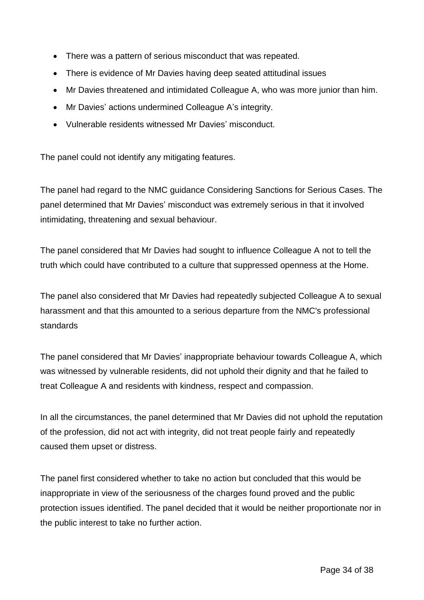- There was a pattern of serious misconduct that was repeated.
- There is evidence of Mr Davies having deep seated attitudinal issues
- Mr Davies threatened and intimidated Colleague A, who was more junior than him.
- Mr Davies' actions undermined Colleague A's integrity.
- Vulnerable residents witnessed Mr Davies' misconduct.

The panel could not identify any mitigating features.

The panel had regard to the NMC guidance Considering Sanctions for Serious Cases. The panel determined that Mr Davies' misconduct was extremely serious in that it involved intimidating, threatening and sexual behaviour.

The panel considered that Mr Davies had sought to influence Colleague A not to tell the truth which could have contributed to a culture that suppressed openness at the Home.

The panel also considered that Mr Davies had repeatedly subjected Colleague A to sexual harassment and that this amounted to a serious departure from the NMC's professional standards

The panel considered that Mr Davies' inappropriate behaviour towards Colleague A, which was witnessed by vulnerable residents, did not uphold their dignity and that he failed to treat Colleague A and residents with kindness, respect and compassion.

In all the circumstances, the panel determined that Mr Davies did not uphold the reputation of the profession, did not act with integrity, did not treat people fairly and repeatedly caused them upset or distress.

The panel first considered whether to take no action but concluded that this would be inappropriate in view of the seriousness of the charges found proved and the public protection issues identified. The panel decided that it would be neither proportionate nor in the public interest to take no further action.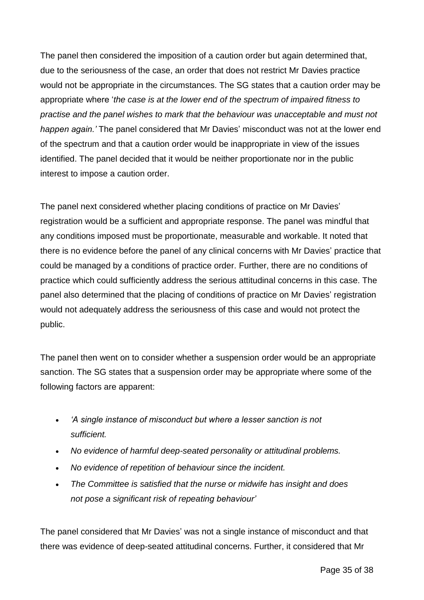The panel then considered the imposition of a caution order but again determined that, due to the seriousness of the case, an order that does not restrict Mr Davies practice would not be appropriate in the circumstances. The SG states that a caution order may be appropriate where '*the case is at the lower end of the spectrum of impaired fitness to practise and the panel wishes to mark that the behaviour was unacceptable and must not happen again.'* The panel considered that Mr Davies' misconduct was not at the lower end of the spectrum and that a caution order would be inappropriate in view of the issues identified. The panel decided that it would be neither proportionate nor in the public interest to impose a caution order.

The panel next considered whether placing conditions of practice on Mr Davies' registration would be a sufficient and appropriate response. The panel was mindful that any conditions imposed must be proportionate, measurable and workable. It noted that there is no evidence before the panel of any clinical concerns with Mr Davies' practice that could be managed by a conditions of practice order. Further, there are no conditions of practice which could sufficiently address the serious attitudinal concerns in this case. The panel also determined that the placing of conditions of practice on Mr Davies' registration would not adequately address the seriousness of this case and would not protect the public.

The panel then went on to consider whether a suspension order would be an appropriate sanction. The SG states that a suspension order may be appropriate where some of the following factors are apparent:

- *'A single instance of misconduct but where a lesser sanction is not sufficient.*
- *No evidence of harmful deep-seated personality or attitudinal problems.*
- *No evidence of repetition of behaviour since the incident.*
- *The Committee is satisfied that the nurse or midwife has insight and does not pose a significant risk of repeating behaviour'*

The panel considered that Mr Davies' was not a single instance of misconduct and that there was evidence of deep-seated attitudinal concerns. Further, it considered that Mr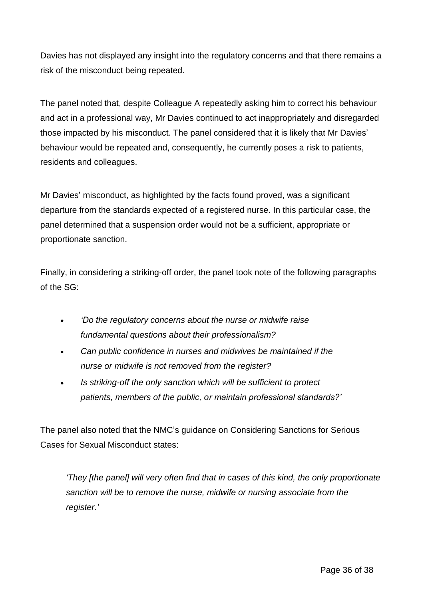Davies has not displayed any insight into the regulatory concerns and that there remains a risk of the misconduct being repeated.

The panel noted that, despite Colleague A repeatedly asking him to correct his behaviour and act in a professional way, Mr Davies continued to act inappropriately and disregarded those impacted by his misconduct. The panel considered that it is likely that Mr Davies' behaviour would be repeated and, consequently, he currently poses a risk to patients, residents and colleagues.

Mr Davies' misconduct, as highlighted by the facts found proved, was a significant departure from the standards expected of a registered nurse. In this particular case, the panel determined that a suspension order would not be a sufficient, appropriate or proportionate sanction.

Finally, in considering a striking-off order, the panel took note of the following paragraphs of the SG:

- *'Do the regulatory concerns about the nurse or midwife raise fundamental questions about their professionalism?*
- *Can public confidence in nurses and midwives be maintained if the nurse or midwife is not removed from the register?*
- *Is striking-off the only sanction which will be sufficient to protect patients, members of the public, or maintain professional standards?'*

The panel also noted that the NMC's guidance on Considering Sanctions for Serious Cases for Sexual Misconduct states:

*'They [the panel] will very often find that in cases of this kind, the only proportionate sanction will be to remove the nurse, midwife or nursing associate from the register.'*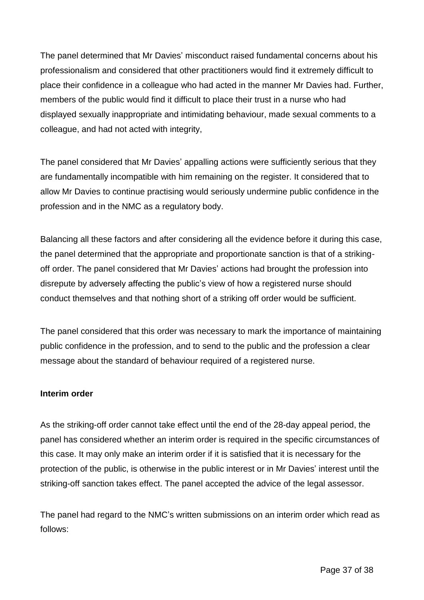The panel determined that Mr Davies' misconduct raised fundamental concerns about his professionalism and considered that other practitioners would find it extremely difficult to place their confidence in a colleague who had acted in the manner Mr Davies had. Further, members of the public would find it difficult to place their trust in a nurse who had displayed sexually inappropriate and intimidating behaviour, made sexual comments to a colleague, and had not acted with integrity,

The panel considered that Mr Davies' appalling actions were sufficiently serious that they are fundamentally incompatible with him remaining on the register. It considered that to allow Mr Davies to continue practising would seriously undermine public confidence in the profession and in the NMC as a regulatory body.

Balancing all these factors and after considering all the evidence before it during this case, the panel determined that the appropriate and proportionate sanction is that of a strikingoff order. The panel considered that Mr Davies' actions had brought the profession into disrepute by adversely affecting the public's view of how a registered nurse should conduct themselves and that nothing short of a striking off order would be sufficient.

The panel considered that this order was necessary to mark the importance of maintaining public confidence in the profession, and to send to the public and the profession a clear message about the standard of behaviour required of a registered nurse.

## **Interim order**

As the striking-off order cannot take effect until the end of the 28-day appeal period, the panel has considered whether an interim order is required in the specific circumstances of this case. It may only make an interim order if it is satisfied that it is necessary for the protection of the public, is otherwise in the public interest or in Mr Davies' interest until the striking-off sanction takes effect. The panel accepted the advice of the legal assessor.

The panel had regard to the NMC's written submissions on an interim order which read as follows: